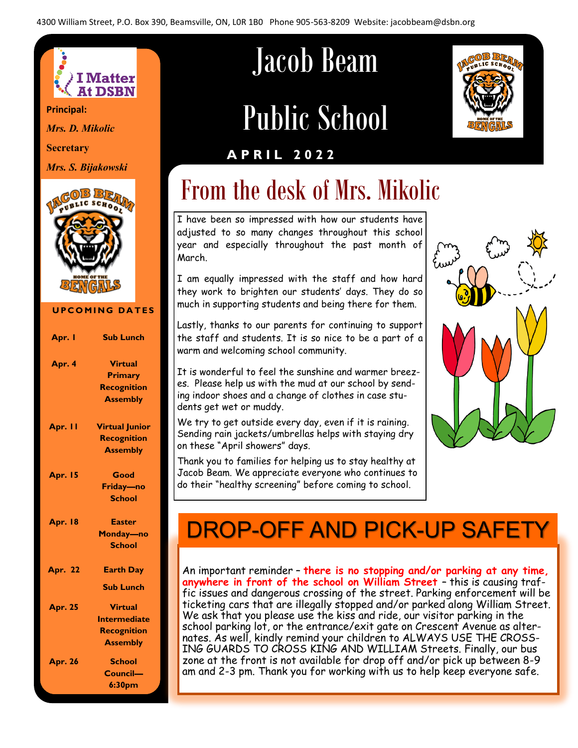

**Principal:**

*Mrs. D. Mikolic*

**Secretary**

*Mrs. S. Bijakowski*



#### **UPCOMING DATES**

| Apr. I         | <b>Sub Lunch</b>                                                                |
|----------------|---------------------------------------------------------------------------------|
| Apr. 4         | <b>Virtual</b><br><b>Primary</b><br><b>Recognition</b>                          |
|                | <b>Assembly</b>                                                                 |
| Apr. II        | <b>Virtual Junior</b><br><b>Recognition</b><br><b>Assembly</b>                  |
| <b>Apr. 15</b> | Good<br>Friday-no<br><b>School</b>                                              |
| <b>Apr. 18</b> | <b>Easter</b><br>Monday-no<br><b>School</b>                                     |
| <b>Apr. 22</b> | <b>Earth Day</b>                                                                |
| <b>Apr. 25</b> | <b>Sub Lunch</b><br><b>Virtual</b><br><b>Intermediate</b><br><b>Recognition</b> |
| <b>Apr. 26</b> | <b>Assembly</b><br><b>School</b><br>Council-<br>6:30 <sub>pm</sub>              |

# Jacob Beam

# Public School



#### **A P R I L 2 0 2 2**

# From the desk of Mrs. Mikolic

I have been so impressed with how our students have adjusted to so many changes throughout this school year and especially throughout the past month of March.

I am equally impressed with the staff and how hard they work to brighten our students' days. They do so much in supporting students and being there for them.

Lastly, thanks to our parents for continuing to support the staff and students. It is so nice to be a part of a warm and welcoming school community.

It is wonderful to feel the sunshine and warmer breezes. Please help us with the mud at our school by sending indoor shoes and a change of clothes in case students get wet or muddy.

We try to get outside every day, even if it is raining. Sending rain jackets/umbrellas helps with staying dry on these "April showers" days.

Thank you to families for helping us to stay healthy at Jacob Beam. We appreciate everyone who continues to do their "healthy screening" before coming to school.



# DROP-OFF AND PICK-UP SAFETY

An important reminder – **there is no stopping and/or parking at any time, anywhere in front of the school on William Street** – this is causing traffic issues and dangerous crossing of the street. Parking enforcement will be ticketing cars that are illegally stopped and/or parked along William Street. We ask that you please use the kiss and ride, our visitor parking in the school parking lot, or the entrance/exit gate on Crescent Avenue as alternates. As well, kindly remind your children to ALWAYS USE THE CROSS-ING GUARDS TO CROSS KING AND WILLIAM Streets. Finally, our bus zone at the front is not available for drop off and/or pick up between 8-9 am and 2-3 pm. Thank you for working with us to help keep everyone safe.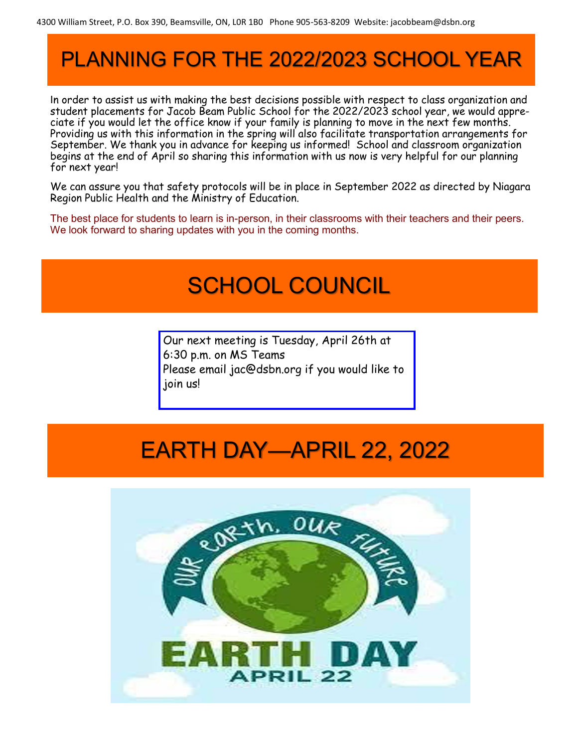# PLANNING FOR THE 2022/2023 SCHOOL YEAR

In order to assist us with making the best decisions possible with respect to class organization and student placements for Jacob Beam Public School for the 2022/2023 school year, we would appreciate if you would let the office know if your family is planning to move in the next few months. Providing us with this information in the spring will also facilitate transportation arrangements for September. We thank you in advance for keeping us informed! School and classroom organization begins at the end of April so sharing this information with us now is very helpful for our planning for next year!

We can assure you that safety protocols will be in place in September 2022 as directed by Niagara Region Public Health and the Ministry of Education.

The best place for students to learn is in-person, in their classrooms with their teachers and their peers. We look forward to sharing updates with you in the coming months.

### SCHOOL COUNCIL

Our next meeting is Tuesday, April 26th at 6:30 p.m. on MS Teams Please email jac@dsbn.org if you would like to join us!

# EARTH DAY—APRIL 22, 2022

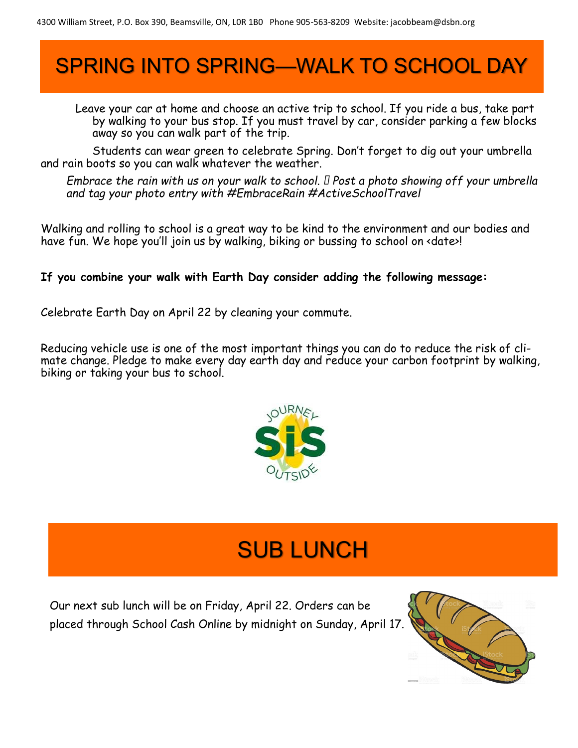# SPRING INTO SPRING—WALK TO SCHOOL DAY

Leave your car at home and choose an active trip to school. If you ride a bus, take part by walking to your bus stop. If you must travel by car, consider parking a few blocks away so you can walk part of the trip.

Students can wear green to celebrate Spring. Don't forget to dig out your umbrella and rain boots so you can walk whatever the weather.

*Embrace the rain with us on your walk to school. □ Post a photo showing off your umbrella and tag your photo entry with #EmbraceRain #ActiveSchoolTravel*

Walking and rolling to school is a great way to be kind to the environment and our bodies and have fun. We hope you'll join us by walking, biking or bussing to school on <date>!

#### **If you combine your walk with Earth Day consider adding the following message:**

Celebrate Earth Day on April 22 by cleaning your commute.

Reducing vehicle use is one of the most important things you can do to reduce the risk of climate change. Pledge to make every day earth day and reduce your carbon footprint by walking, biking or taking your bus to school.



# SUB LUNCH

Our next sub lunch will be on Friday, April 22. Orders can be placed through School Cash Online by midnight on Sunday, April 17.

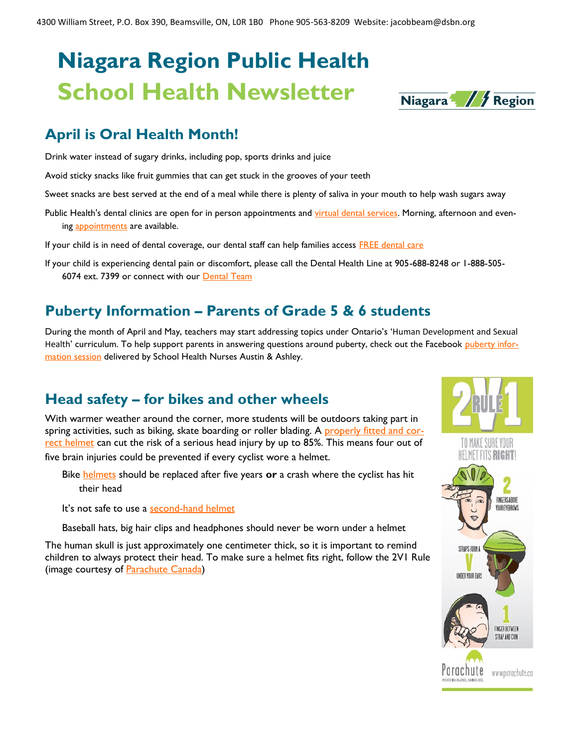# **Niagara Region Public Health School Health Newsletter**

#### **April is Oral Health Month!**

Drink water instead of sugary drinks, including pop, sports drinks and juice

Avoid sticky snacks like fruit gummies that can get stuck in the grooves of your teeth

Sweet snacks are best served at the end of a meal while there is plenty of saliva in your mouth to help wash sugars away

Public Health's dental clinics are open for in person appointments and [virtual dental services.](https://vue.comm100.com/visitorside/html/chatwindow.a57aa7fc5a9011c2fc9bf96df68b92ac8a00f104.html?siteId=232657&planId=545) Morning, afternoon and evening [appointments](https://www.niagararegion.ca/living/health_wellness/dental/dentalclinics.aspx) are available.

If your child is in need of dental coverage, our dental staff can help families access [FREE dental care](https://www.niagararegion.ca/living/health_wellness/dental/treatment-options-for-children.aspx)

If your child is experiencing dental pain or discomfort, please call the Dental Health Line at 905-688-8248 or 1-888-505- 6074 ext. 7399 or connect with our **[Dental Team](https://www.niagararegion.ca/living/health_wellness/dental/contact.aspx)** 

#### **Puberty Information – Parents of Grade 5 & 6 students**

During the month of April and May, teachers may start addressing topics under Ontario's 'Human Development and Sexual Health' curriculum. To help support parents in answering questions around puberty, check out the Facebook [puberty infor](https://www.facebook.com/niagaraparents/videos/169690495161119)[mation session](https://www.facebook.com/niagaraparents/videos/169690495161119) delivered by School Health Nurses Austin & Ashley.

#### **Head safety – for bikes and other wheels**

With warmer weather around the corner, more students will be outdoors taking part in spring activities, such as biking, skate boarding or roller blading. A [properly fitted and cor](https://parachute.ca/en/injury-topic/helmets/helmets-for-bicycles-inline-skating-scooter-riding-and-skateboarding/)[rect helmet](https://parachute.ca/en/injury-topic/helmets/helmets-for-bicycles-inline-skating-scooter-riding-and-skateboarding/) can cut the risk of a serious head injury by up to 85%. This means four out of five brain injuries could be prevented if every cyclist wore a helmet.

Bike [helmets](https://parachute.ca/en/injury-topic/helmets/helmets-for-bicycles-inline-skating-scooter-riding-and-skateboarding/#helmets-that-are-safe-to-use) should be replaced after five years **or** a crash where the cyclist has hit their head

It's not safe to use a [second-hand helmet](https://parachute.ca/en/injury-topic/helmets/helmets-for-bicycles-inline-skating-scooter-riding-and-skateboarding/#helmets-that-are-safe-to-use)

Baseball hats, big hair clips and headphones should never be worn under a helmet

The human skull is just approximately one centimeter thick, so it is important to remind children to always protect their head. To make sure a helmet fits right, follow the 2V1 Rule (image courtesy of **Parachute Canada**)



Niagara / / Region